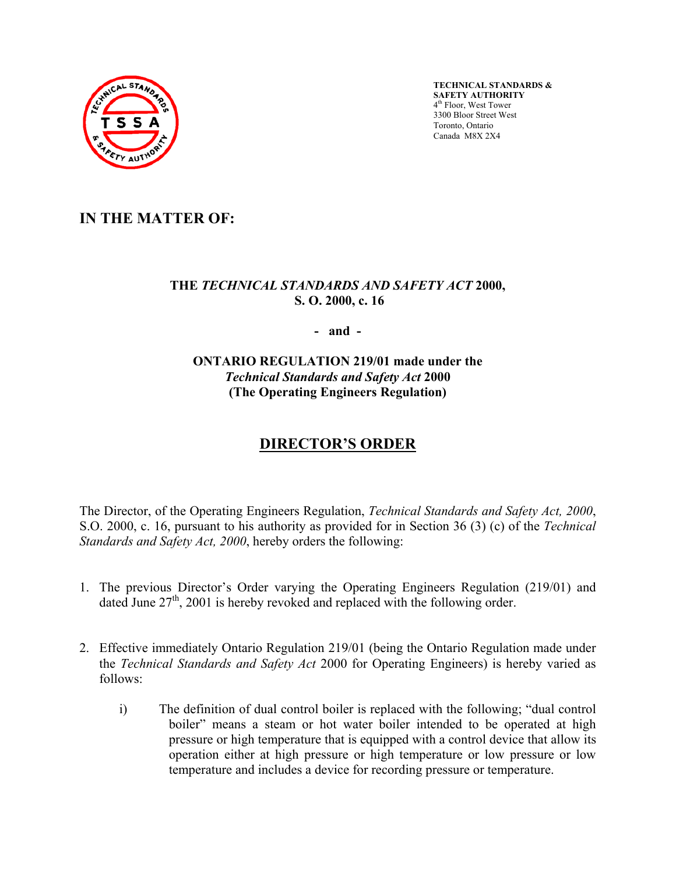

**TECHNICAL STANDARDS & SAFETY AUTHORITY**  4th Floor, West Tower 3300 Bloor Street West Toronto, Ontario Canada M8X 2X4

## **IN THE MATTER OF:**

### **THE** *TECHNICAL STANDARDS AND SAFETY ACT* **2000, S. O. 2000, c. 16**

**- and -** 

**ONTARIO REGULATION 219/01 made under the**  *Technical Standards and Safety Act* **2000 (The Operating Engineers Regulation)** 

# **DIRECTOR'S ORDER**

The Director, of the Operating Engineers Regulation, *Technical Standards and Safety Act, 2000*, S.O. 2000, c. 16, pursuant to his authority as provided for in Section 36 (3) (c) of the *Technical Standards and Safety Act, 2000*, hereby orders the following:

- 1. The previous Director's Order varying the Operating Engineers Regulation (219/01) and dated June  $27<sup>th</sup>$ , 2001 is hereby revoked and replaced with the following order.
- 2. Effective immediately Ontario Regulation 219/01 (being the Ontario Regulation made under the *Technical Standards and Safety Act* 2000 for Operating Engineers) is hereby varied as follows:
	- i) The definition of dual control boiler is replaced with the following; "dual control boiler" means a steam or hot water boiler intended to be operated at high pressure or high temperature that is equipped with a control device that allow its operation either at high pressure or high temperature or low pressure or low temperature and includes a device for recording pressure or temperature.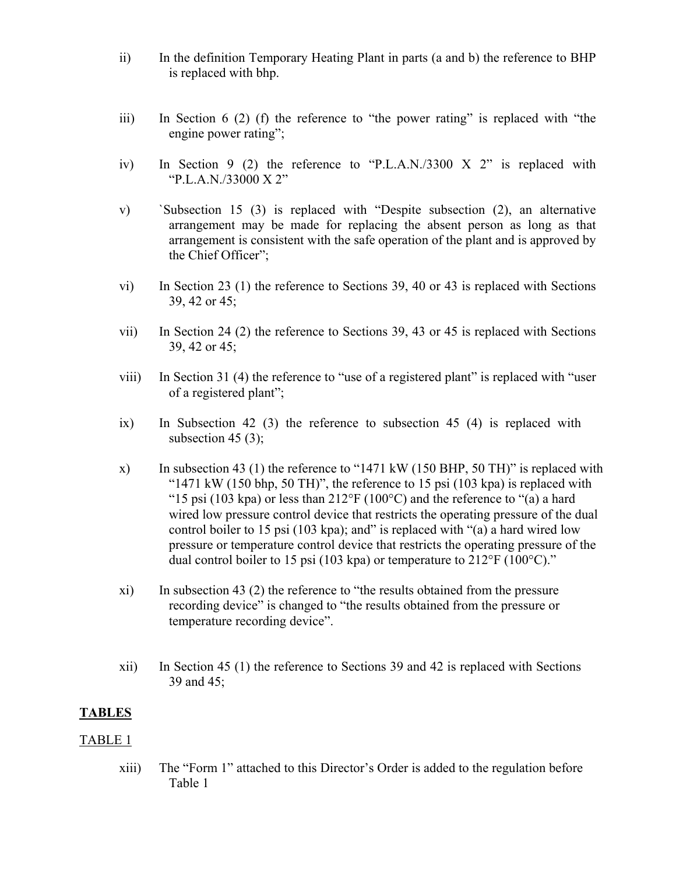- ii) In the definition Temporary Heating Plant in parts (a and b) the reference to BHP is replaced with bhp.
- iii) In Section 6 (2) (f) the reference to "the power rating" is replaced with "the engine power rating";
- iv) In Section 9 (2) the reference to "P.L.A.N./3300 X 2" is replaced with "P.L.A.N./33000 X 2"
- v) `Subsection 15 (3) is replaced with "Despite subsection (2), an alternative arrangement may be made for replacing the absent person as long as that arrangement is consistent with the safe operation of the plant and is approved by the Chief Officer";
- vi) In Section 23 (1) the reference to Sections 39, 40 or 43 is replaced with Sections 39, 42 or 45;
- vii) In Section 24 (2) the reference to Sections 39, 43 or 45 is replaced with Sections 39, 42 or 45;
- viii) In Section 31 (4) the reference to "use of a registered plant" is replaced with "user of a registered plant";
- ix) In Subsection 42 (3) the reference to subsection 45 (4) is replaced with subsection 45 $(3)$ ;
- x) In subsection 43 (1) the reference to "1471 kW (150 BHP, 50 TH)" is replaced with " $1471 \text{ kW}$  (150 bhp, 50 TH)", the reference to 15 psi (103 kpa) is replaced with "15 psi (103 kpa) or less than  $212^{\circ}F(100^{\circ}C)$  and the reference to "(a) a hard wired low pressure control device that restricts the operating pressure of the dual control boiler to 15 psi (103 kpa); and" is replaced with "(a) a hard wired low pressure or temperature control device that restricts the operating pressure of the dual control boiler to 15 psi (103 kpa) or temperature to  $212^{\circ}$ F (100 $^{\circ}$ C)."
- xi) In subsection 43 (2) the reference to "the results obtained from the pressure recording device" is changed to "the results obtained from the pressure or temperature recording device".
- xii) In Section 45 (1) the reference to Sections 39 and 42 is replaced with Sections 39 and 45;

### **TABLES**

### TABLE 1

xiii) The "Form 1" attached to this Director's Order is added to the regulation before Table 1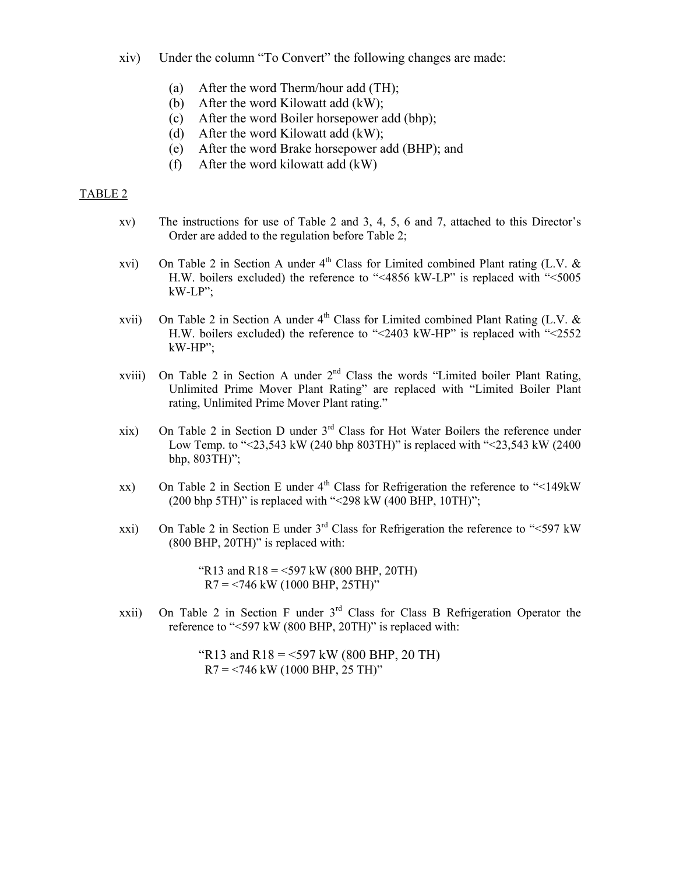- xiv) Under the column "To Convert" the following changes are made:
	- (a) After the word Therm/hour add (TH);
	- (b) After the word Kilowatt add (kW);
	- (c) After the word Boiler horsepower add (bhp);
	- (d) After the word Kilowatt add (kW);
	- (e) After the word Brake horsepower add (BHP); and
	- (f) After the word kilowatt add (kW)

#### TABLE 2

- xv) The instructions for use of Table 2 and 3, 4, 5, 6 and 7, attached to this Director's Order are added to the regulation before Table 2;
- xvi) On Table 2 in Section A under  $4<sup>th</sup>$  Class for Limited combined Plant rating (L.V. & H.W. boilers excluded) the reference to "<4856 kW-LP" is replaced with "<5005 kW-LP";
- xvii) On Table 2 in Section A under  $4<sup>th</sup>$  Class for Limited combined Plant Rating (L.V. & H.W. boilers excluded) the reference to "<2403 kW-HP" is replaced with "<2552 kW-HP";
- xviii) On Table 2 in Section A under  $2<sup>nd</sup>$  Class the words "Limited boiler Plant Rating, Unlimited Prime Mover Plant Rating" are replaced with "Limited Boiler Plant rating, Unlimited Prime Mover Plant rating."
- xix) On Table 2 in Section D under  $3<sup>rd</sup>$  Class for Hot Water Boilers the reference under Low Temp. to "<23,543 kW (240 bhp 803TH)" is replaced with "<23,543 kW (2400 bhp, 803TH)";
- xx) On Table 2 in Section E under  $4<sup>th</sup>$  Class for Refrigeration the reference to "<149kW (200 bhp 5TH)" is replaced with "<298 kW (400 BHP, 10TH)";
- xxi) On Table 2 in Section E under  $3<sup>rd</sup>$  Class for Refrigeration the reference to "<597 kW (800 BHP, 20TH)" is replaced with:

"R13 and R18 = <597 kW (800 BHP, 20TH)  $R7 = 746$  kW (1000 BHP, 25TH)"

xxii) On Table 2 in Section F under 3rd Class for Class B Refrigeration Operator the reference to "<597 kW (800 BHP, 20TH)" is replaced with:

> "R13 and R18 = <597 kW (800 BHP, 20 TH)  $R7 = 746$  kW (1000 BHP, 25 TH)"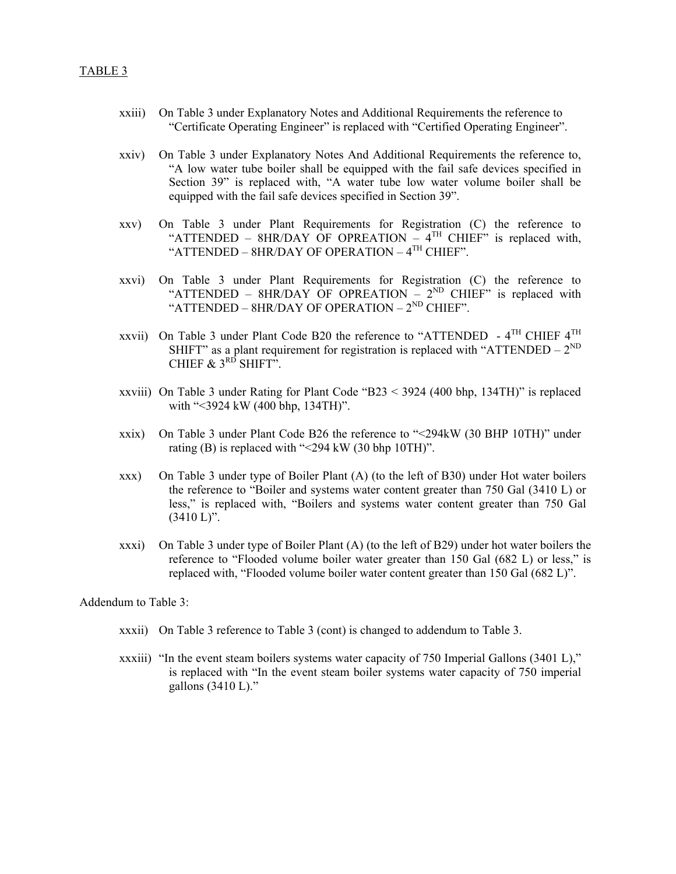- xxiii) On Table 3 under Explanatory Notes and Additional Requirements the reference to "Certificate Operating Engineer" is replaced with "Certified Operating Engineer".
- xxiv) On Table 3 under Explanatory Notes And Additional Requirements the reference to, "A low water tube boiler shall be equipped with the fail safe devices specified in Section 39" is replaced with, "A water tube low water volume boiler shall be equipped with the fail safe devices specified in Section 39".
- xxv) On Table 3 under Plant Requirements for Registration (C) the reference to "ATTENDED – 8HR/DAY OF OPREATION –  $4^{TH}$  CHIEF" is replaced with, "ATTENDED – 8HR/DAY OF OPERATION – 4<sup>TH</sup> CHIEF".
- xxvi) On Table 3 under Plant Requirements for Registration (C) the reference to "ATTENDED – 8HR/DAY OF OPREATION –  $2^{ND}$  CHIEF" is replaced with "ATTENDED – 8HR/DAY OF OPERATION –  $2^{ND}$  CHIEF".
- xxvii) On Table 3 under Plant Code B20 the reference to "ATTENDED  $4^{TH}$  CHIEF  $4^{TH}$ SHIFT" as a plant requirement for registration is replaced with "ATTENDED –  $2^{ND}$ CHIEF  $\&$  3<sup>RD</sup> SHIFT".
- xxviii) On Table 3 under Rating for Plant Code "B23 < 3924 (400 bhp, 134TH)" is replaced with "<3924 kW (400 bhp, 134TH)".
- xxix) On Table 3 under Plant Code B26 the reference to "<294kW (30 BHP 10TH)" under rating (B) is replaced with "<294 kW (30 bhp 10TH)".
- xxx) On Table 3 under type of Boiler Plant (A) (to the left of B30) under Hot water boilers the reference to "Boiler and systems water content greater than 750 Gal (3410 L) or less," is replaced with, "Boilers and systems water content greater than 750 Gal  $(3410 L)$ ".
- xxxi) On Table 3 under type of Boiler Plant (A) (to the left of B29) under hot water boilers the reference to "Flooded volume boiler water greater than 150 Gal (682 L) or less," is replaced with, "Flooded volume boiler water content greater than 150 Gal (682 L)".

Addendum to Table 3:

- xxxii) On Table 3 reference to Table 3 (cont) is changed to addendum to Table 3.
- xxxiii) "In the event steam boilers systems water capacity of 750 Imperial Gallons (3401 L)," is replaced with "In the event steam boiler systems water capacity of 750 imperial gallons (3410 L)."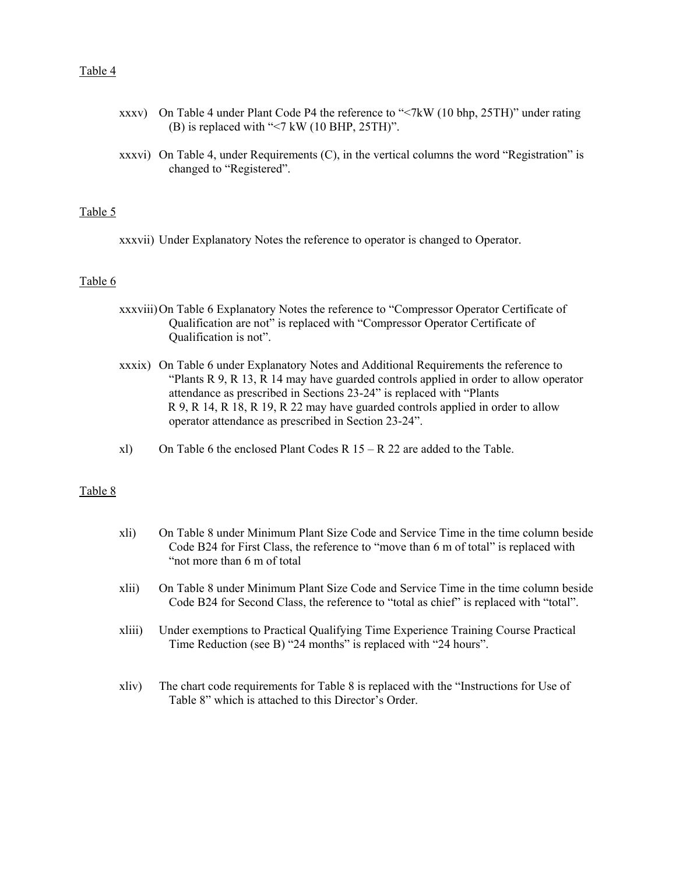#### Table 4

- xxxv) On Table 4 under Plant Code P4 the reference to "<7kW (10 bhp, 25TH)" under rating (B) is replaced with "<7 kW (10 BHP, 25TH)".
- xxxvi) On Table 4, under Requirements (C), in the vertical columns the word "Registration" is changed to "Registered".

#### Table 5

xxxvii) Under Explanatory Notes the reference to operator is changed to Operator.

#### Table 6

- xxxviii) On Table 6 Explanatory Notes the reference to "Compressor Operator Certificate of Qualification are not" is replaced with "Compressor Operator Certificate of Qualification is not".
- xxxix) On Table 6 under Explanatory Notes and Additional Requirements the reference to "Plants R 9, R 13, R 14 may have guarded controls applied in order to allow operator attendance as prescribed in Sections 23-24" is replaced with "Plants R 9, R 14, R 18, R 19, R 22 may have guarded controls applied in order to allow operator attendance as prescribed in Section 23-24".
- xl) On Table 6 the enclosed Plant Codes R  $15 R$  22 are added to the Table.

#### Table 8

- xli) On Table 8 under Minimum Plant Size Code and Service Time in the time column beside Code B24 for First Class, the reference to "move than 6 m of total" is replaced with "not more than 6 m of total
- xlii) On Table 8 under Minimum Plant Size Code and Service Time in the time column beside Code B24 for Second Class, the reference to "total as chief" is replaced with "total".
- xliii) Under exemptions to Practical Qualifying Time Experience Training Course Practical Time Reduction (see B) "24 months" is replaced with "24 hours".
- xliv) The chart code requirements for Table 8 is replaced with the "Instructions for Use of Table 8" which is attached to this Director's Order.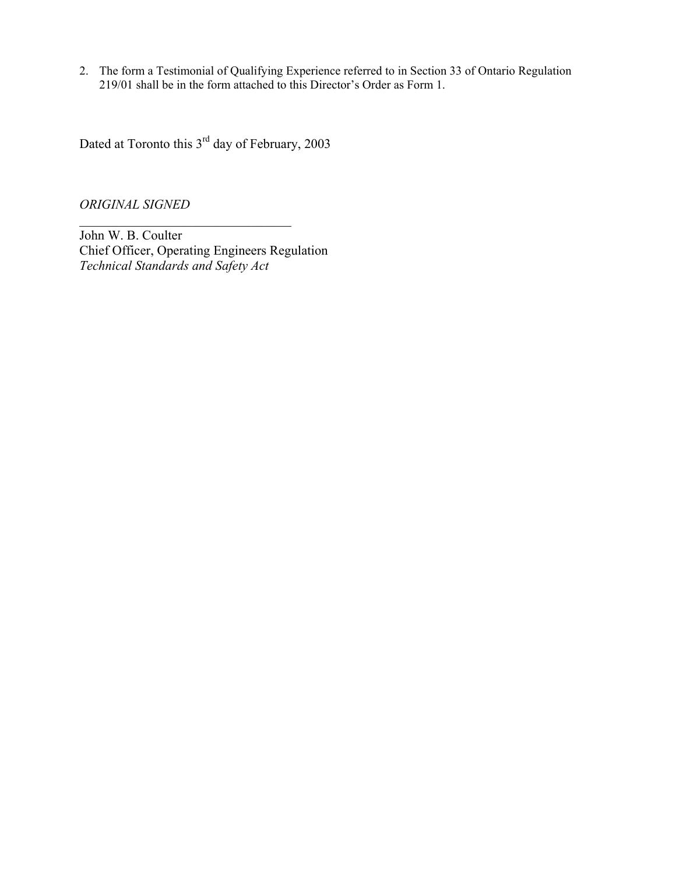2. The form a Testimonial of Qualifying Experience referred to in Section 33 of Ontario Regulation 219/01 shall be in the form attached to this Director's Order as Form 1.

Dated at Toronto this 3rd day of February, 2003

*ORIGINAL SIGNED* 

John W. B. Coulter Chief Officer, Operating Engineers Regulation *Technical Standards and Safety Act* 

 $\mathcal{L}_\text{max}$  , and the set of the set of the set of the set of the set of the set of the set of the set of the set of the set of the set of the set of the set of the set of the set of the set of the set of the set of the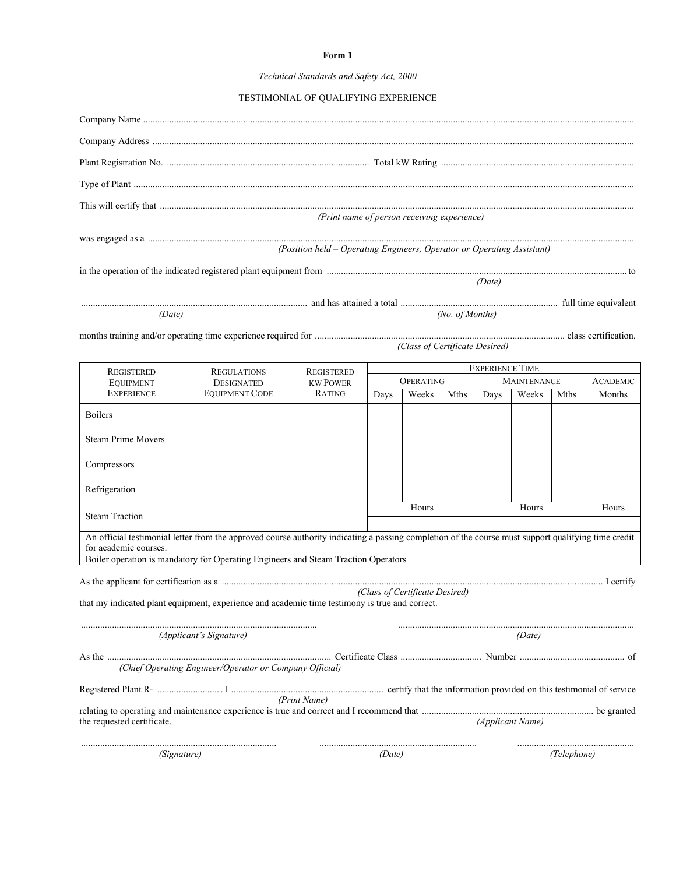#### **Form 1**

#### *Technical Standards and Safety Act, 2000*

| TESTIMONIAL OF QUALIFYING EXPERIENCE |  |  |
|--------------------------------------|--|--|
|                                      |  |  |

|                                                                                                |                                                                                                                                                                                                                               | (Print name of person receiving experience)                            |                  |                                |                 |                                              |                  |             |                 |  |  |
|------------------------------------------------------------------------------------------------|-------------------------------------------------------------------------------------------------------------------------------------------------------------------------------------------------------------------------------|------------------------------------------------------------------------|------------------|--------------------------------|-----------------|----------------------------------------------|------------------|-------------|-----------------|--|--|
|                                                                                                |                                                                                                                                                                                                                               | (Position held - Operating Engineers, Operator or Operating Assistant) |                  |                                |                 |                                              |                  |             |                 |  |  |
|                                                                                                |                                                                                                                                                                                                                               |                                                                        |                  |                                |                 | (Date)                                       |                  |             |                 |  |  |
|                                                                                                |                                                                                                                                                                                                                               |                                                                        |                  |                                |                 |                                              |                  |             |                 |  |  |
| (Date)                                                                                         |                                                                                                                                                                                                                               |                                                                        |                  |                                | (No. of Months) |                                              |                  |             |                 |  |  |
|                                                                                                |                                                                                                                                                                                                                               |                                                                        |                  | (Class of Certificate Desired) |                 |                                              |                  |             |                 |  |  |
|                                                                                                |                                                                                                                                                                                                                               |                                                                        |                  |                                |                 |                                              |                  |             |                 |  |  |
| <b>REGISTERED</b><br><b>EQUIPMENT</b>                                                          | <b>REGULATIONS</b><br><b>DESIGNATED</b>                                                                                                                                                                                       | <b>REGISTERED</b><br><b>KW POWER</b>                                   | <b>OPERATING</b> |                                |                 | <b>EXPERIENCE TIME</b><br><b>MAINTENANCE</b> |                  |             | <b>ACADEMIC</b> |  |  |
| <b>EXPERIENCE</b>                                                                              | <b>EQUIPMENT CODE</b>                                                                                                                                                                                                         | RATING                                                                 | Days             | Weeks                          | Mths            | Days                                         | Weeks            | Mths        | Months          |  |  |
| <b>Boilers</b>                                                                                 |                                                                                                                                                                                                                               |                                                                        |                  |                                |                 |                                              |                  |             |                 |  |  |
| <b>Steam Prime Movers</b>                                                                      |                                                                                                                                                                                                                               |                                                                        |                  |                                |                 |                                              |                  |             |                 |  |  |
| Compressors                                                                                    |                                                                                                                                                                                                                               |                                                                        |                  |                                |                 |                                              |                  |             |                 |  |  |
| Refrigeration                                                                                  |                                                                                                                                                                                                                               |                                                                        |                  |                                |                 |                                              |                  |             |                 |  |  |
| <b>Steam Traction</b>                                                                          |                                                                                                                                                                                                                               |                                                                        |                  | Hours<br>Hours                 |                 |                                              |                  |             | Hours           |  |  |
| for academic courses.                                                                          | An official testimonial letter from the approved course authority indicating a passing completion of the course must support qualifying time credit                                                                           |                                                                        |                  |                                |                 |                                              |                  |             |                 |  |  |
|                                                                                                | Boiler operation is mandatory for Operating Engineers and Steam Traction Operators                                                                                                                                            |                                                                        |                  |                                |                 |                                              |                  |             |                 |  |  |
| that my indicated plant equipment, experience and academic time testimony is true and correct. | As the applicant for certification as a manufactured as a controlled as a controlled as a manufactured as a manufactured as a manufactured as a manufactured as a manufactured as a manufactured as a set of $\Gamma$ certify |                                                                        |                  | (Class of Certificate Desired) |                 |                                              |                  |             |                 |  |  |
|                                                                                                | (Applicant's Signature)                                                                                                                                                                                                       |                                                                        |                  |                                |                 |                                              | (Date)           |             |                 |  |  |
|                                                                                                |                                                                                                                                                                                                                               |                                                                        |                  |                                |                 |                                              |                  |             |                 |  |  |
|                                                                                                | (Chief Operating Engineer/Operator or Company Official)                                                                                                                                                                       |                                                                        |                  |                                |                 |                                              |                  |             |                 |  |  |
|                                                                                                |                                                                                                                                                                                                                               | (Print Name)                                                           |                  |                                |                 |                                              |                  |             |                 |  |  |
|                                                                                                |                                                                                                                                                                                                                               |                                                                        |                  |                                |                 |                                              |                  |             |                 |  |  |
| the requested certificate.                                                                     |                                                                                                                                                                                                                               |                                                                        |                  |                                |                 |                                              | (Applicant Name) |             |                 |  |  |
| (Signature)                                                                                    |                                                                                                                                                                                                                               |                                                                        | (Date)           |                                |                 |                                              |                  | (Telephone) |                 |  |  |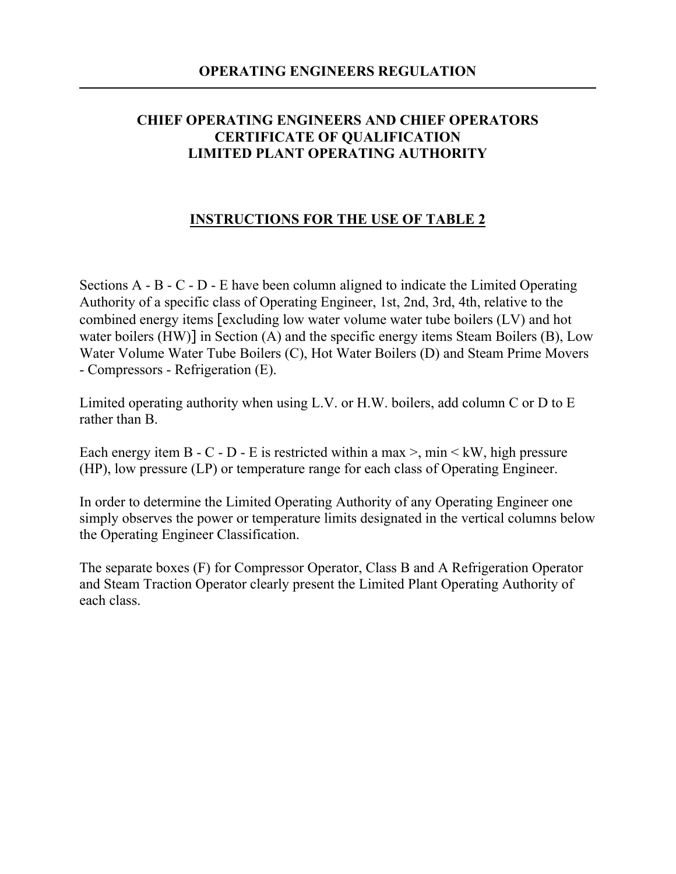### **CHIEF OPERATING ENGINEERS AND CHIEF OPERATORS CERTIFICATE OF QUALIFICATION LIMITED PLANT OPERATING AUTHORITY**

### **INSTRUCTIONS FOR THE USE OF TABLE 2**

Sections A - B - C - D - E have been column aligned to indicate the Limited Operating Authority of a specific class of Operating Engineer, 1st, 2nd, 3rd, 4th, relative to the combined energy items [excluding low water volume water tube boilers (LV) and hot water boilers (HW)] in Section (A) and the specific energy items Steam Boilers (B), Low Water Volume Water Tube Boilers (C), Hot Water Boilers (D) and Steam Prime Movers - Compressors - Refrigeration (E).

Limited operating authority when using L.V. or H.W. boilers, add column C or D to E rather than B.

Each energy item B - C - D - E is restricted within a max  $>$ , min  $\lt kW$ , high pressure (HP), low pressure (LP) or temperature range for each class of Operating Engineer.

In order to determine the Limited Operating Authority of any Operating Engineer one simply observes the power or temperature limits designated in the vertical columns below the Operating Engineer Classification.

The separate boxes (F) for Compressor Operator, Class B and A Refrigeration Operator and Steam Traction Operator clearly present the Limited Plant Operating Authority of each class.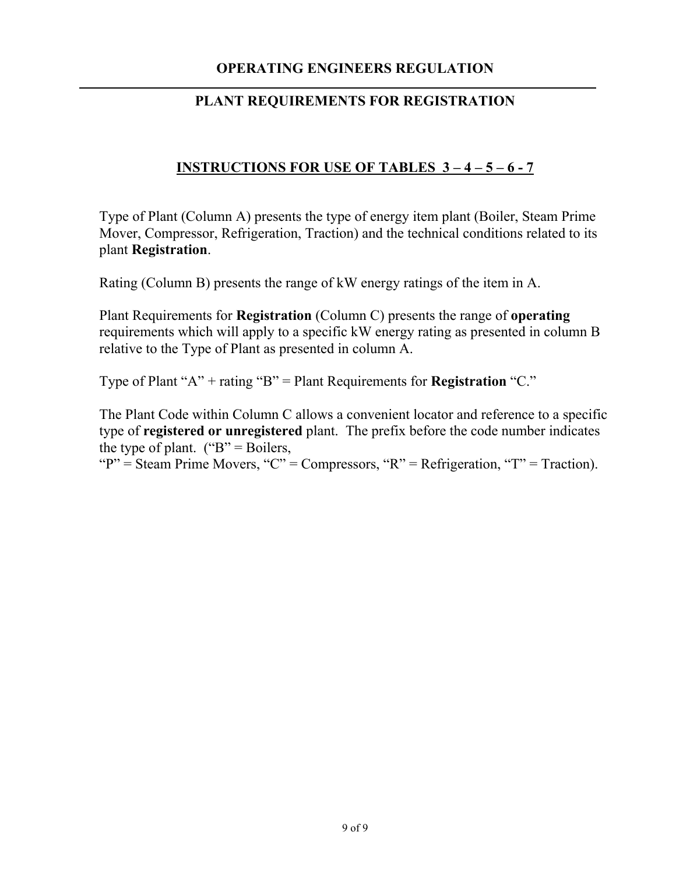## **OPERATING ENGINEERS REGULATION**

### **PLANT REQUIREMENTS FOR REGISTRATION**

## **INSTRUCTIONS FOR USE OF TABLES 3 – 4 – 5 – 6 - 7**

Type of Plant (Column A) presents the type of energy item plant (Boiler, Steam Prime Mover, Compressor, Refrigeration, Traction) and the technical conditions related to its plant **Registration**.

Rating (Column B) presents the range of kW energy ratings of the item in A.

Plant Requirements for **Registration** (Column C) presents the range of **operating**  requirements which will apply to a specific kW energy rating as presented in column B relative to the Type of Plant as presented in column A.

Type of Plant "A" + rating "B" = Plant Requirements for **Registration** "C."

The Plant Code within Column C allows a convenient locator and reference to a specific type of **registered or unregistered** plant. The prefix before the code number indicates the type of plant.  $("B" = Boilers,$ 

" $P'' =$ Steam Prime Movers, "C" = Compressors, "R" = Refrigeration, "T" = Traction).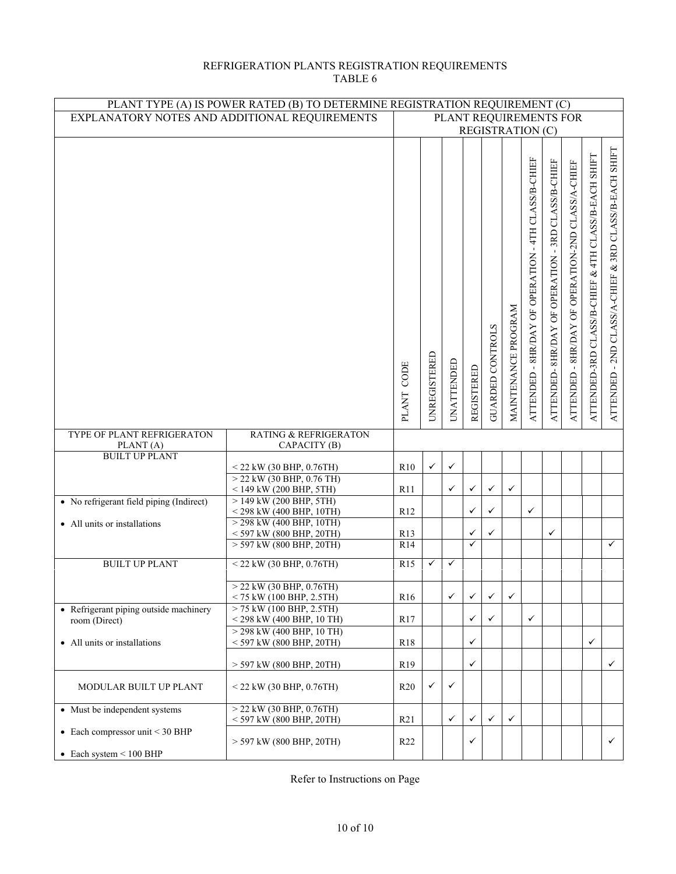#### REFRIGERATION PLANTS REGISTRATION REQUIREMENTS TABLE 6

| PLANT TYPE (A) IS POWER RATED (B) TO DETERMINE REGISTRATION REQUIREMENT (C) |                                                           |                      |                                                   |              |              |                         |                     |                                                        |                                                     |                                                   |                                                             |                                                       |
|-----------------------------------------------------------------------------|-----------------------------------------------------------|----------------------|---------------------------------------------------|--------------|--------------|-------------------------|---------------------|--------------------------------------------------------|-----------------------------------------------------|---------------------------------------------------|-------------------------------------------------------------|-------------------------------------------------------|
| EXPLANATORY NOTES AND ADDITIONAL REQUIREMENTS                               |                                                           |                      | PLANT REQUIREMENTS FOR<br><b>REGISTRATION (C)</b> |              |              |                         |                     |                                                        |                                                     |                                                   |                                                             |                                                       |
|                                                                             |                                                           |                      |                                                   |              |              |                         |                     |                                                        |                                                     |                                                   |                                                             |                                                       |
|                                                                             |                                                           | CODE<br><b>PLANT</b> | UNREGISTERED                                      | UNATTENDED   | REGISTERED   | <b>GUARDED CONTROLS</b> | MAINTENANCE PROGRAM | - 4TH CLASS/B-CHIEF<br>ATTENDED - 8HR/DAY OF OPERATION | -3RD CLASS/B-CHIEF<br>ATTENDED-8HR/DAY OF OPERATION | ATTENDED - 8HR/DAY OF OPERATION-2ND CLASS/A-CHIEF | CLASS/B-EACH SHIFT<br>&4TH<br>CLASS/B-CHIEF<br>ATTENDED-3RD | ATTENDED - 2ND CLASS/A-CHIEF & 3RD CLASS/B-EACH SHIFT |
|                                                                             |                                                           |                      |                                                   |              |              |                         |                     |                                                        |                                                     |                                                   |                                                             |                                                       |
| TYPE OF PLANT REFRIGERATON                                                  | <b>RATING &amp; REFRIGERATON</b>                          |                      |                                                   |              |              |                         |                     |                                                        |                                                     |                                                   |                                                             |                                                       |
| PLANT(A)<br><b>BUILT UP PLANT</b>                                           | CAPACITY (B)                                              |                      |                                                   |              |              |                         |                     |                                                        |                                                     |                                                   |                                                             |                                                       |
|                                                                             | $<$ 22 kW (30 BHP, 0.76TH)                                | R10                  | $\checkmark$                                      | ✓            |              |                         |                     |                                                        |                                                     |                                                   |                                                             |                                                       |
|                                                                             | $>$ 22 kW (30 BHP, 0.76 TH)                               |                      |                                                   |              |              |                         |                     |                                                        |                                                     |                                                   |                                                             |                                                       |
|                                                                             | $<$ 149 kW (200 BHP, 5TH)                                 | R11                  |                                                   | ✓            | ✓            | $\checkmark$            | $\checkmark$        |                                                        |                                                     |                                                   |                                                             |                                                       |
| • No refrigerant field piping (Indirect)                                    | $> 149$ kW (200 BHP, 5TH)<br>$<$ 298 kW (400 BHP, 10TH)   | R12                  |                                                   |              | ✓            | $\checkmark$            |                     | $\checkmark$                                           |                                                     |                                                   |                                                             |                                                       |
| • All units or installations                                                | $>$ 298 kW (400 BHP, 10TH)                                |                      |                                                   |              |              |                         |                     |                                                        |                                                     |                                                   |                                                             |                                                       |
|                                                                             | $<$ 597 kW (800 BHP, 20TH)                                | R13                  |                                                   |              | ✓            | ✓                       |                     |                                                        | ✓                                                   |                                                   |                                                             |                                                       |
|                                                                             | $>$ 597 kW (800 BHP, 20TH)                                | R14                  |                                                   |              | ✓            |                         |                     |                                                        |                                                     |                                                   |                                                             | $\checkmark$                                          |
| <b>BUILT UP PLANT</b>                                                       | $<$ 22 kW (30 BHP, 0.76TH)                                | R15                  | ✓                                                 | $\checkmark$ |              |                         |                     |                                                        |                                                     |                                                   |                                                             |                                                       |
|                                                                             | $>$ 22 kW (30 BHP, 0.76TH)                                |                      |                                                   |              |              |                         |                     |                                                        |                                                     |                                                   |                                                             |                                                       |
|                                                                             | $<$ 75 kW (100 BHP, 2.5TH)                                | R <sub>16</sub>      |                                                   | ✓            | ✓            | $\checkmark$            | ✓                   |                                                        |                                                     |                                                   |                                                             |                                                       |
| • Refrigerant piping outside machinery                                      | $> 75$ kW (100 BHP, 2.5TH)<br>$<$ 298 kW (400 BHP, 10 TH) | R17                  |                                                   |              | ✓            | ✓                       |                     | $\checkmark$                                           |                                                     |                                                   |                                                             |                                                       |
| room (Direct)                                                               | $>$ 298 kW (400 BHP, 10 TH)                               |                      |                                                   |              |              |                         |                     |                                                        |                                                     |                                                   |                                                             |                                                       |
| • All units or installations                                                | $<$ 597 kW (800 BHP, 20TH)                                | <b>R18</b>           |                                                   |              | ✓            |                         |                     |                                                        |                                                     |                                                   | ✓                                                           |                                                       |
|                                                                             | $>$ 597 kW (800 BHP, 20TH)                                | R <sub>19</sub>      |                                                   |              | $\checkmark$ |                         |                     |                                                        |                                                     |                                                   |                                                             | $\checkmark$                                          |
|                                                                             |                                                           |                      |                                                   |              |              |                         |                     |                                                        |                                                     |                                                   |                                                             |                                                       |
| MODULAR BUILT UP PLANT                                                      | $<$ 22 kW (30 BHP, 0.76TH)                                | R20                  | ✓                                                 | $\checkmark$ |              |                         |                     |                                                        |                                                     |                                                   |                                                             |                                                       |
| • Must be independent systems                                               | $>$ 22 kW (30 BHP, 0.76TH)                                |                      |                                                   |              |              |                         |                     |                                                        |                                                     |                                                   |                                                             |                                                       |
| • Each compressor unit $<$ 30 BHP                                           | <597 kW (800 BHP, 20TH)                                   | R21                  |                                                   | ✓            | ✓            | ✓                       | ✓                   |                                                        |                                                     |                                                   |                                                             |                                                       |
|                                                                             | > 597 kW (800 BHP, 20TH)                                  | R <sub>22</sub>      |                                                   |              | ✓            |                         |                     |                                                        |                                                     |                                                   |                                                             | $\checkmark$                                          |
| $\bullet$ Each system < 100 BHP                                             |                                                           |                      |                                                   |              |              |                         |                     |                                                        |                                                     |                                                   |                                                             |                                                       |

Refer to Instructions on Page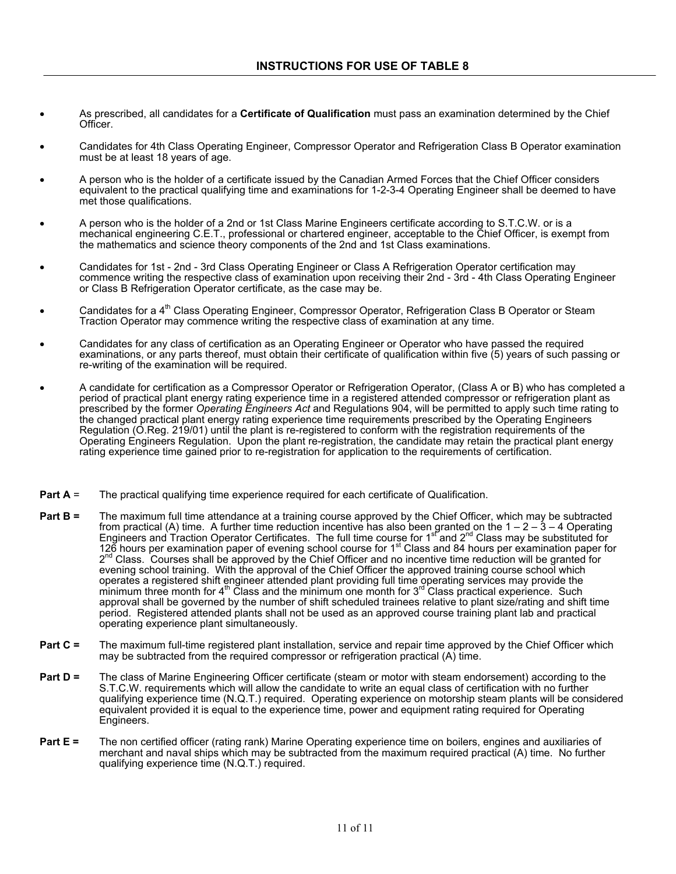- As prescribed, all candidates for a **Certificate of Qualification** must pass an examination determined by the Chief Officer.
- Candidates for 4th Class Operating Engineer, Compressor Operator and Refrigeration Class B Operator examination must be at least 18 years of age.
- A person who is the holder of a certificate issued by the Canadian Armed Forces that the Chief Officer considers equivalent to the practical qualifying time and examinations for 1-2-3-4 Operating Engineer shall be deemed to have met those qualifications.
- A person who is the holder of a 2nd or 1st Class Marine Engineers certificate according to S.T.C.W. or is a mechanical engineering C.E.T., professional or chartered engineer, acceptable to the Chief Officer, is exempt from the mathematics and science theory components of the 2nd and 1st Class examinations.
- Candidates for 1st 2nd 3rd Class Operating Engineer or Class A Refrigeration Operator certification may commence writing the respective class of examination upon receiving their 2nd - 3rd - 4th Class Operating Engineer or Class B Refrigeration Operator certificate, as the case may be.
- Candidates for a 4<sup>th</sup> Class Operating Engineer, Compressor Operator, Refrigeration Class B Operator or Steam Traction Operator may commence writing the respective class of examination at any time.
- Candidates for any class of certification as an Operating Engineer or Operator who have passed the required examinations, or any parts thereof, must obtain their certificate of qualification within five (5) years of such passing or re-writing of the examination will be required.
- A candidate for certification as a Compressor Operator or Refrigeration Operator, (Class A or B) who has completed a period of practical plant energy rating experience time in a registered attended compressor or refrigeration plant as prescribed by the former *Operating Engineers Act* and Regulations 904, will be permitted to apply such time rating to the changed practical plant energy rating experience time requirements prescribed by the Operating Engineers Regulation (O.Reg. 219/01) until the plant is re-registered to conform with the registration requirements of the Operating Engineers Regulation. Upon the plant re-registration, the candidate may retain the practical plant energy rating experience time gained prior to re-registration for application to the requirements of certification.
- **Part A** = The practical qualifying time experience required for each certificate of Qualification.
- **Part B =** The maximum full time attendance at a training course approved by the Chief Officer, which may be subtracted from practical (A) time. A further time reduction incentive has also been granted on the  $1 - 2 - 3 - 4$  Operating Engineers and Traction Operator Certificates. The full time course for 1<sup>st</sup> and 2<sup>nd</sup> Class may be substituted for 126 hours per examination paper of evening school course for 1<sup>st</sup> Class and 84 hours per examination paper for 2<sup>nd</sup> Class. Courses shall be approved by the Chief Officer and no incentive time reduction will be granted for evening school training. With the approval of the Chief Officer the approved training course school which operates a registered shift engineer attended plant providing full time operating services may provide the minimum three month for 4<sup>th</sup> Class and the minimum one month for 3<sup>rd</sup> Class practical experience. Such approval shall be governed by the number of shift scheduled trainees relative to plant size/rating and shift time period. Registered attended plants shall not be used as an approved course training plant lab and practical operating experience plant simultaneously.
- **Part C =** The maximum full-time registered plant installation, service and repair time approved by the Chief Officer which may be subtracted from the required compressor or refrigeration practical (A) time.
- **Part D =** The class of Marine Engineering Officer certificate (steam or motor with steam endorsement) according to the S.T.C.W. requirements which will allow the candidate to write an equal class of certification with no further qualifying experience time (N.Q.T.) required. Operating experience on motorship steam plants will be considered equivalent provided it is equal to the experience time, power and equipment rating required for Operating Engineers.
- **Part E =** The non certified officer (rating rank) Marine Operating experience time on boilers, engines and auxiliaries of merchant and naval ships which may be subtracted from the maximum required practical (A) time. No further qualifying experience time (N.Q.T.) required.